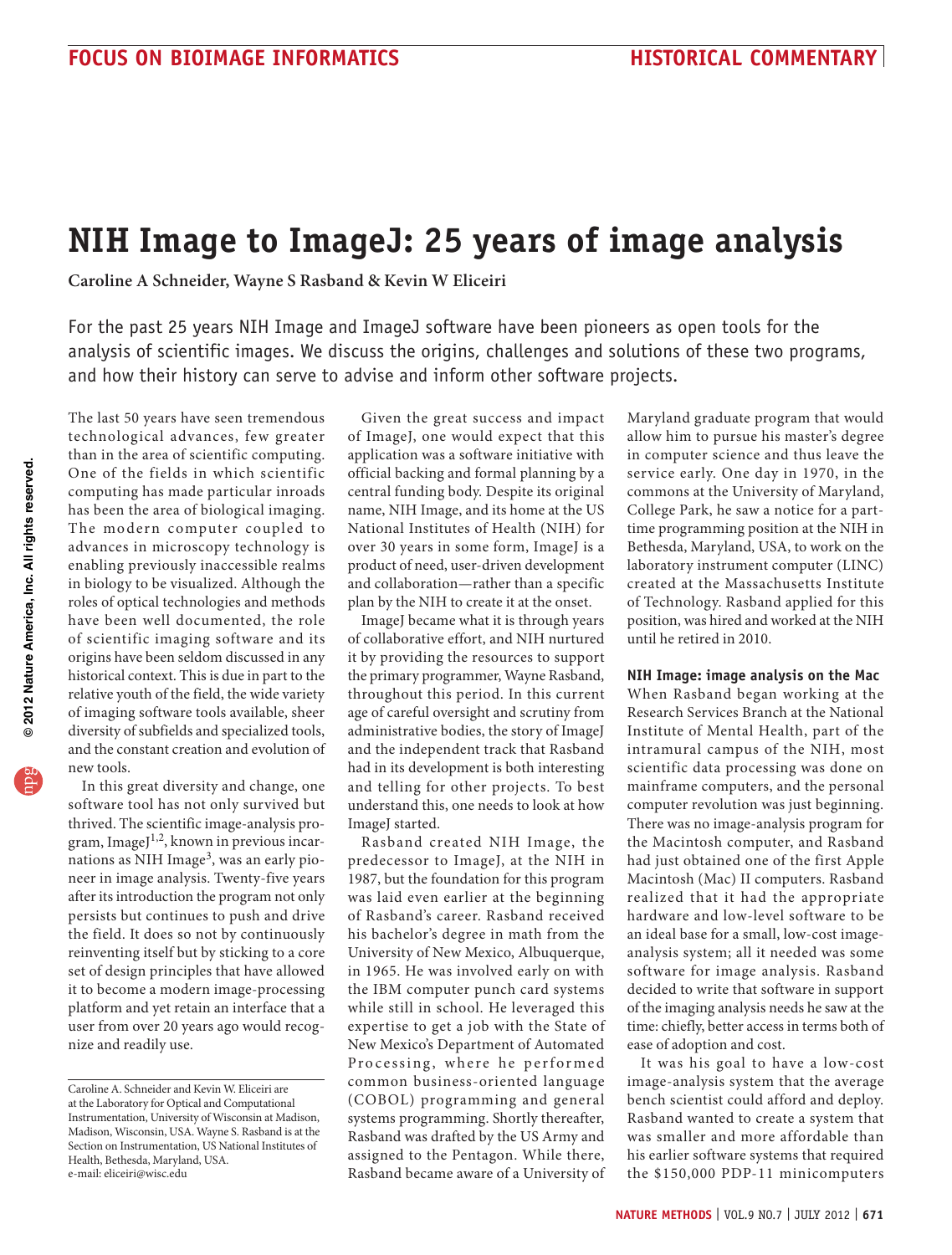# **NIH Image to ImageJ: 25 years of image analysis**

**Caroline A Schneider, Wayne S Rasband & Kevin W Eliceiri**

For the past 25 years NIH Image and ImageJ software have been pioneers as open tools for the analysis of scientific images. We discuss the origins, challenges and solutions of these two programs, and how their history can serve to advise and inform other software projects.

The last 50 years have seen tremendous technological advances, few greater than in the area of scientific computing. One of the fields in which scientific computing has made particular inroads has been the area of biological imaging. The modern computer coupled to advances in microscopy technology is enabling previously inaccessible realms in biology to be visualized. Although the roles of optical technologies and methods have been well documented, the role of scientific imaging software and its origins have been seldom discussed in any historical context. This is due in part to the relative youth of the field, the wide variety of imaging software tools available, sheer diversity of subfields and specialized tools, and the constant creation and evolution of new tools.

In this great diversity and change, one software tool has not only survived but thrived. The scientific image-analysis program, ImageJ $^{1,2}$ , known in previous incarnations as NIH Image<sup>3</sup>, was an early pioneer in image analysis. Twenty-five years after its introduction the program not only persists but continues to push and drive the field. It does so not by continuously reinventing itself but by sticking to a core set of design principles that have allowed it to become a modern image-processing platform and yet retain an interface that a user from over 20 years ago would recognize and readily use.

Given the great success and impact of ImageJ, one would expect that this application was a software initiative with official backing and formal planning by a central funding body. Despite its original name, NIH Image, and its home at the US National Institutes of Health (NIH) for over 30 years in some form, ImageJ is a product of need, user-driven development and collaboration—rather than a specific plan by the NIH to create it at the onset.

ImageJ became what it is through years of collaborative effort, and NIH nurtured it by providing the resources to support the primary programmer, Wayne Rasband, throughout this period. In this current age of careful oversight and scrutiny from administrative bodies, the story of ImageJ and the independent track that Rasband had in its development is both interesting and telling for other projects. To best understand this, one needs to look at how ImageJ started.

Rasband created NIH Image, the predecessor to ImageJ, at the NIH in 1987, but the foundation for this program was laid even earlier at the beginning of Rasband's career. Rasband received his bachelor's degree in math from the University of New Mexico, Albuquerque, in 1965. He was involved early on with the IBM computer punch card systems while still in school. He leveraged this expertise to get a job with the State of New Mexico's Department of Automated Processing, where he performed common business-oriented language (COBOL) programming and general systems programming. Shortly thereafter, Rasband was drafted by the US Army and assigned to the Pentagon. While there, Rasband became aware of a University of

Maryland graduate program that would allow him to pursue his master's degree in computer science and thus leave the service early. One day in 1970, in the commons at the University of Maryland, College Park, he saw a notice for a parttime programming position at the NIH in Bethesda, Maryland, USA, to work on the laboratory instrument computer (LINC) created at the Massachusetts Institute of Technology. Rasband applied for this position, was hired and worked at the NIH until he retired in 2010.

**NIH Image: image analysis on the Mac**

When Rasband began working at the Research Services Branch at the National Institute of Mental Health, part of the intramural campus of the NIH, most scientific data processing was done on mainframe computers, and the personal computer revolution was just beginning. There was no image-analysis program for the Macintosh computer, and Rasband had just obtained one of the first Apple Macintosh (Mac) II computers. Rasband realized that it had the appropriate hardware and low-level software to be an ideal base for a small, low-cost imageanalysis system; all it needed was some software for image analysis. Rasband decided to write that software in support of the imaging analysis needs he saw at the time: chiefly, better access in terms both of ease of adoption and cost.

It was his goal to have a low-cost image-analysis system that the average bench scientist could afford and deploy. Rasband wanted to create a system that was smaller and more affordable than his earlier software systems that required the \$150,000 PDP-11 minicomputers

Caroline A. Schneider and Kevin W. Eliceiri are at the Laboratory for Optical and Computational Instrumentation, University of Wisconsin at Madison, Madison, Wisconsin, USA. Wayne S. Rasband is at the Section on Instrumentation, US National Institutes of Health, Bethesda, Maryland, USA. e-mail: [eliceiri@wisc.edu](mailto:eliceiri%40wisc.edu?subject=)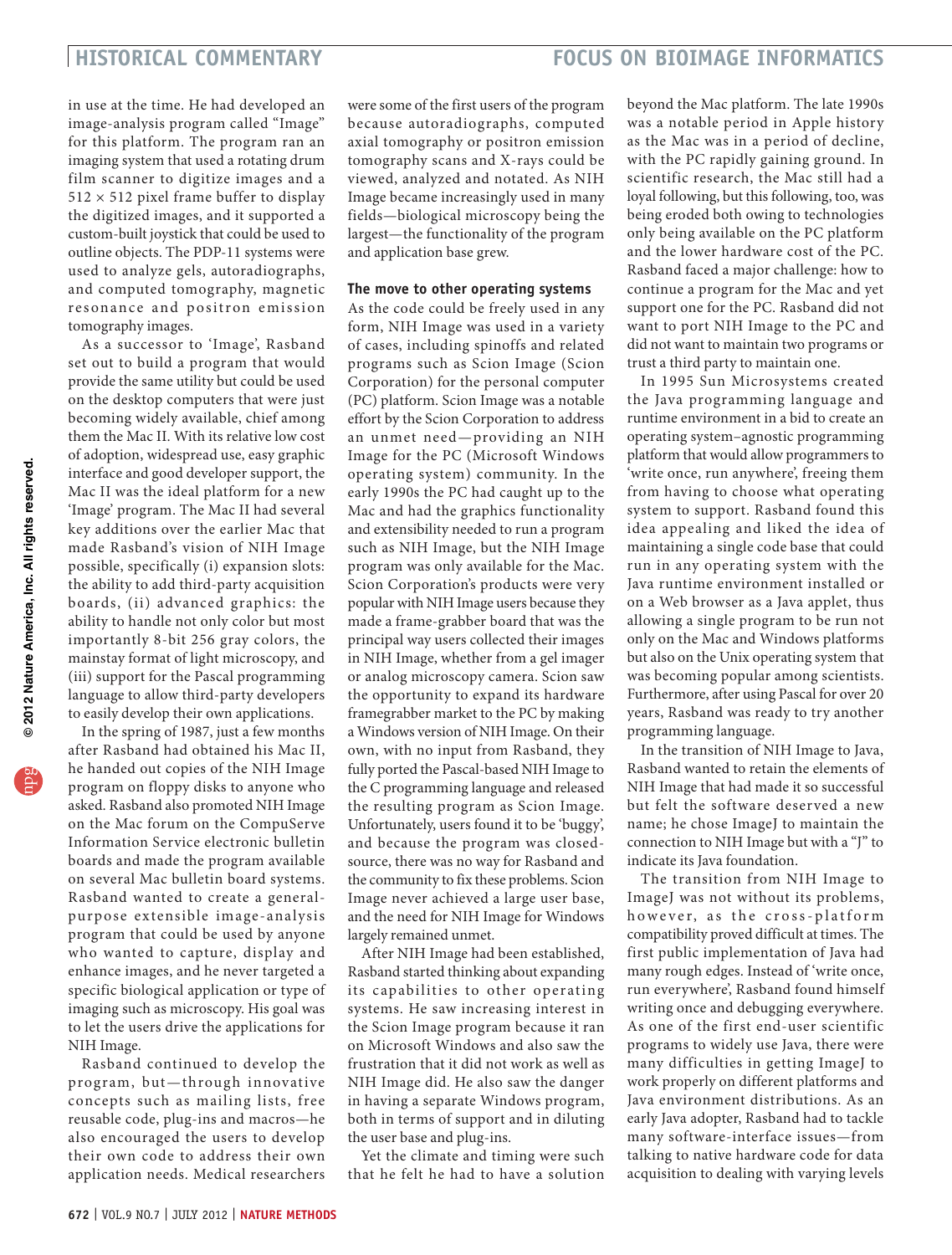## **HISTORICAL commentary FOCUS ON BIOIMAGE INFORMATICS**

in use at the time. He had developed an image-analysis program called "Image" for this platform. The program ran an imaging system that used a rotating drum film scanner to digitize images and a  $512 \times 512$  pixel frame buffer to display the digitized images, and it supported a custom-built joystick that could be used to outline objects. The PDP-11 systems were used to analyze gels, autoradiographs, and computed tomography, magnetic resonance and positron emission tomography images.

As a successor to 'Image', Rasband set out to build a program that would provide the same utility but could be used on the desktop computers that were just becoming widely available, chief among them the Mac II. With its relative low cost of adoption, widespread use, easy graphic interface and good developer support, the Mac II was the ideal platform for a new 'Image' program. The Mac II had several key additions over the earlier Mac that made Rasband's vision of NIH Image possible, specifically (i) expansion slots: the ability to add third-party acquisition boards, (ii) advanced graphics: the ability to handle not only color but most importantly 8-bit 256 gray colors, the mainstay format of light microscopy, and (iii) support for the Pascal programming language to allow third-party developers to easily develop their own applications.

In the spring of 1987, just a few months after Rasband had obtained his Mac II, he handed out copies of the NIH Image program on floppy disks to anyone who asked. Rasband also promoted NIH Image on the Mac forum on the CompuServe Information Service electronic bulletin boards and made the program available on several Mac bulletin board systems. Rasband wanted to create a generalpurpose extensible image-analysis program that could be used by anyone who wanted to capture, display and enhance images, and he never targeted a specific biological application or type of imaging such as microscopy. His goal was to let the users drive the applications for NIH Image.

Rasband continued to develop the program, but—through innovative concepts such as mailing lists, free reusable code, plug-ins and macros—he also encouraged the users to develop their own code to address their own application needs. Medical researchers

were some of the first users of the program because autoradiographs, computed axial tomography or positron emission tomography scans and X-rays could be viewed, analyzed and notated. As NIH Image became increasingly used in many fields—biological microscopy being the largest—the functionality of the program and application base grew.

## **The move to other operating systems**

As the code could be freely used in any form, NIH Image was used in a variety of cases, including spinoffs and related programs such as Scion Image (Scion Corporation) for the personal computer (PC) platform. Scion Image was a notable effort by the Scion Corporation to address an unmet need—providing an NIH Image for the PC (Microsoft Windows operating system) community. In the early 1990s the PC had caught up to the Mac and had the graphics functionality and extensibility needed to run a program such as NIH Image, but the NIH Image program was only available for the Mac. Scion Corporation's products were very popular with NIH Image users because they made a frame-grabber board that was the principal way users collected their images in NIH Image, whether from a gel imager or analog microscopy camera. Scion saw the opportunity to expand its hardware framegrabber market to the PC by making a Windows version of NIH Image. On their own, with no input from Rasband, they fully ported the Pascal-based NIH Image to the C programming language and released the resulting program as Scion Image. Unfortunately, users found it to be 'buggy', and because the program was closedsource, there was no way for Rasband and the community to fix these problems. Scion Image never achieved a large user base, and the need for NIH Image for Windows largely remained unmet.

After NIH Image had been established, Rasband started thinking about expanding its capabilities to other operating systems. He saw increasing interest in the Scion Image program because it ran on Microsoft Windows and also saw the frustration that it did not work as well as NIH Image did. He also saw the danger in having a separate Windows program, both in terms of support and in diluting the user base and plug-ins.

Yet the climate and timing were such that he felt he had to have a solution

beyond the Mac platform. The late 1990s was a notable period in Apple history as the Mac was in a period of decline, with the PC rapidly gaining ground. In scientific research, the Mac still had a loyal following, but this following, too, was being eroded both owing to technologies only being available on the PC platform and the lower hardware cost of the PC. Rasband faced a major challenge: how to continue a program for the Mac and yet support one for the PC. Rasband did not want to port NIH Image to the PC and did not want to maintain two programs or trust a third party to maintain one.

In 1995 Sun Microsystems created the Java programming language and runtime environment in a bid to create an operating system–agnostic programming platform that would allow programmers to 'write once, run anywhere', freeing them from having to choose what operating system to support. Rasband found this idea appealing and liked the idea of maintaining a single code base that could run in any operating system with the Java runtime environment installed or on a Web browser as a Java applet, thus allowing a single program to be run not only on the Mac and Windows platforms but also on the Unix operating system that was becoming popular among scientists. Furthermore, after using Pascal for over 20 years, Rasband was ready to try another programming language.

In the transition of NIH Image to Java, Rasband wanted to retain the elements of NIH Image that had made it so successful but felt the software deserved a new name; he chose ImageJ to maintain the connection to NIH Image but with a "J" to indicate its Java foundation.

The transition from NIH Image to ImageJ was not without its problems, however, as the cross-platform compatibility proved difficult at times. The first public implementation of Java had many rough edges. Instead of 'write once, run everywhere', Rasband found himself writing once and debugging everywhere. As one of the first end-user scientific programs to widely use Java, there were many difficulties in getting ImageJ to work properly on different platforms and Java environment distributions. As an early Java adopter, Rasband had to tackle many software-interface issues—from talking to native hardware code for data acquisition to dealing with varying levels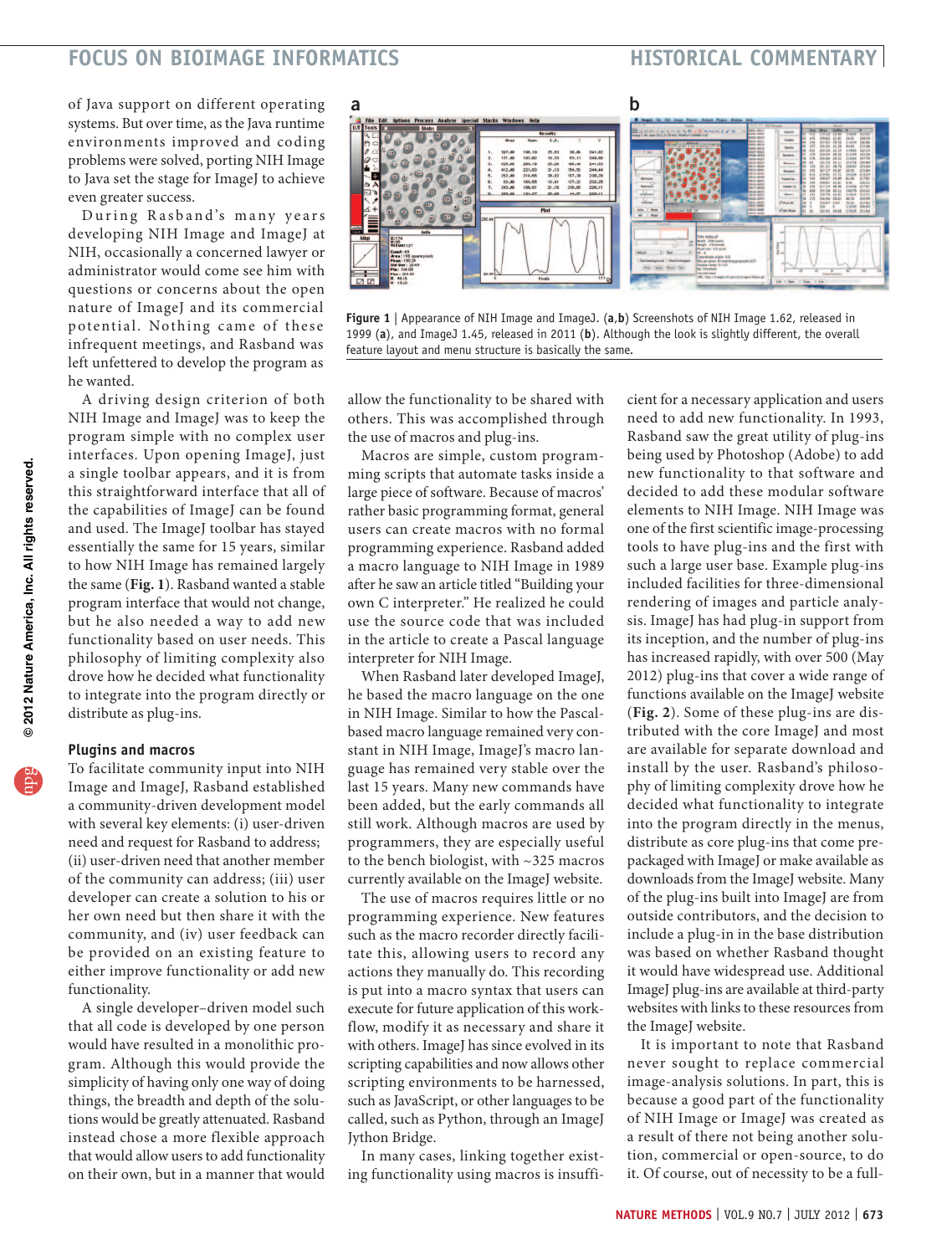## **FOCUS ON BIOIMAGE INFORMATICS HISTORICAL commentary**

of Java support on different operating systems. But over time, as the Java runtime environments improved and coding problems were solved, porting NIH Image to Java set the stage for ImageJ to achieve even greater success.

During Rasband's many years developing NIH Image and ImageJ at NIH, occasionally a concerned lawyer or administrator would come see him with questions or concerns about the open nature of ImageJ and its commercial potential. Nothing came of these infrequent meetings, and Rasband was left unfettered to develop the program as he wanted.

A driving design criterion of both NIH Image and ImageJ was to keep the program simple with no complex user interfaces. Upon opening ImageJ, just a single toolbar appears, and it is from this straightforward interface that all of the capabilities of ImageJ can be found and used. The ImageJ toolbar has stayed essentially the same for 15 years, similar to how NIH Image has remained largely the same (**Fig. 1**). Rasband wanted a stable program interface that would not change, but he also needed a way to add new functionality based on user needs. This philosophy of limiting complexity also drove how he decided what functionality to integrate into the program directly or distribute as plug-ins.

### **Plugins and macros**

To facilitate community input into NIH Image and ImageJ, Rasband established a community-driven development model with several key elements: (i) user-driven need and request for Rasband to address; (ii) user-driven need that another member of the community can address; (iii) user developer can create a solution to his or her own need but then share it with the community, and (iv) user feedback can be provided on an existing feature to either improve functionality or add new functionality.

A single developer–driven model such that all code is developed by one person would have resulted in a monolithic program. Although this would provide the simplicity of having only one way of doing things, the breadth and depth of the solutions would be greatly attenuated. Rasband instead chose a more flexible approach that would allow users to add functionality on their own, but in a manner that would



**Figure 1** | Appearance of NIH Image and ImageJ. (**a**,**b**) Screenshots of NIH Image 1.62, released in 1999 (**a**), and ImageJ 1.45, released in 2011 (**b**). Although the look is slightly different, the overall feature layout and menu structure is basically the same.

allow the functionality to be shared with others. This was accomplished through the use of macros and plug-ins.

Macros are simple, custom programming scripts that automate tasks inside a large piece of software. Because of macros' rather basic programming format, general users can create macros with no formal programming experience. Rasband added a macro language to NIH Image in 1989 after he saw an article titled "Building your own C interpreter." He realized he could use the source code that was included in the article to create a Pascal language interpreter for NIH Image.

When Rasband later developed ImageJ, he based the macro language on the one in NIH Image. Similar to how the Pascalbased macro language remained very constant in NIH Image, ImageJ's macro language has remained very stable over the last 15 years. Many new commands have been added, but the early commands all still work. Although macros are used by programmers, they are especially useful to the bench biologist, with ~325 macros currently available on the ImageJ website.

The use of macros requires little or no programming experience. New features such as the macro recorder directly facilitate this, allowing users to record any actions they manually do. This recording is put into a macro syntax that users can execute for future application of this workflow, modify it as necessary and share it with others. ImageJ has since evolved in its scripting capabilities and now allows other scripting environments to be harnessed, such as JavaScript, or other languages to be called, such as Python, through an ImageJ Jython Bridge.

In many cases, linking together existing functionality using macros is insufficient for a necessary application and users need to add new functionality. In 1993, Rasband saw the great utility of plug-ins being used by Photoshop (Adobe) to add new functionality to that software and decided to add these modular software elements to NIH Image. NIH Image was one of the first scientific image-processing tools to have plug-ins and the first with such a large user base. Example plug-ins included facilities for three-dimensional rendering of images and particle analysis. ImageJ has had plug-in support from its inception, and the number of plug-ins has increased rapidly, with over 500 (May 2012) plug-ins that cover a wide range of functions available on the ImageJ website (**Fig. 2**). Some of these plug-ins are distributed with the core ImageJ and most are available for separate download and install by the user. Rasband's philosophy of limiting complexity drove how he decided what functionality to integrate into the program directly in the menus, distribute as core plug-ins that come prepackaged with ImageJ or make available as downloads from the ImageJ website. Many of the plug-ins built into ImageJ are from outside contributors, and the decision to include a plug-in in the base distribution was based on whether Rasband thought it would have widespread use. Additional ImageJ plug-ins are available at third-party websites with links to these resources from the ImageJ website.

It is important to note that Rasband never sought to replace commercial image-analysis solutions. In part, this is because a good part of the functionality of NIH Image or ImageJ was created as a result of there not being another solution, commercial or open-source, to do it. Of course, out of necessity to be a full-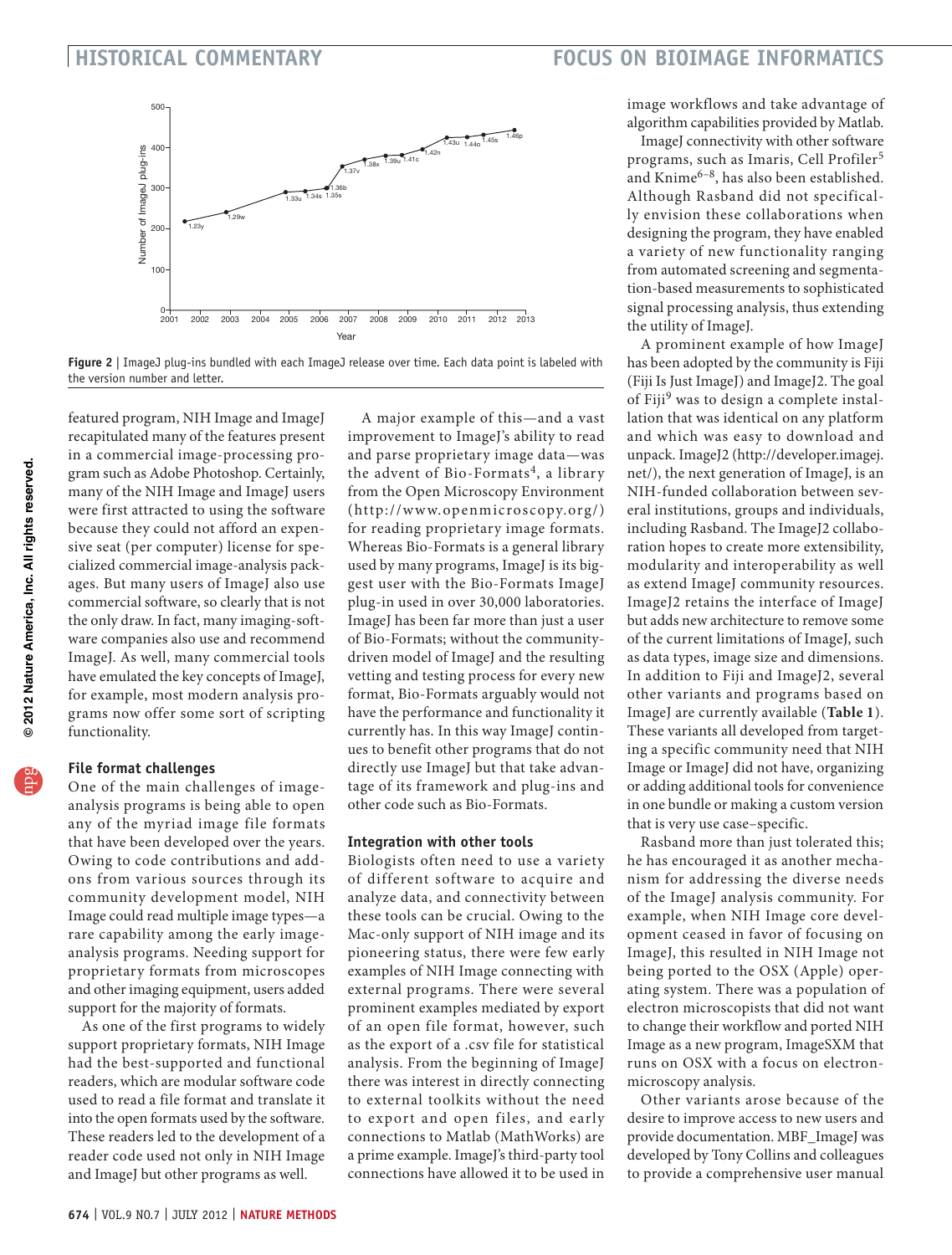## **HISTORICAL commentary FOCUS ON BIOIMAGE INFORMATICS**





featured program, NIH Image and ImageJ recapitulated many of the features present in a commercial image-processing program such as Adobe Photoshop. Certainly, many of the NIH Image and ImageJ users were first attracted to using the software because they could not afford an expensive seat (per computer) license for specialized commercial image-analysis packages. But many users of ImageJ also use commercial software, so clearly that is not the only draw. In fact, many imaging-software companies also use and recommend ImageJ. As well, many commercial tools have emulated the key concepts of ImageJ, for example, most modern analysis programs now offer some sort of scripting functionality.

## **File format challenges**

One of the main challenges of imageanalysis programs is being able to open any of the myriad image file formats that have been developed over the years. Owing to code contributions and addons from various sources through its community development model, NIH Image could read multiple image types—a rare capability among the early imageanalysis programs. Needing support for proprietary formats from microscopes and other imaging equipment, users added support for the majority of formats.

As one of the first programs to widely support proprietary formats, NIH Image had the best-supported and functional readers, which are modular software code used to read a file format and translate it into the open formats used by the software. These readers led to the development of a reader code used not only in NIH Image and ImageJ but other programs as well.

A major example of this—and a vast improvement to ImageJ's ability to read and parse proprietary image data—was the advent of Bio-Formats<sup>4</sup>, a library from the Open Microscopy Environment ([http://www.openmicroscopy.org/\)](http://www.openmicroscopy.org/) for reading proprietary image formats. Whereas Bio-Formats is a general library used by many programs, ImageJ is its biggest user with the Bio-Formats ImageJ plug-in used in over 30,000 laboratories. ImageJ has been far more than just a user of Bio-Formats; without the communitydriven model of ImageJ and the resulting vetting and testing process for every new format, Bio-Formats arguably would not have the performance and functionality it currently has. In this way ImageJ continues to benefit other programs that do not directly use ImageJ but that take advantage of its framework and plug-ins and other code such as Bio-Formats.

## **Integration with other tools**

Biologists often need to use a variety of different software to acquire and analyze data, and connectivity between these tools can be crucial. Owing to the Mac-only support of NIH image and its pioneering status, there were few early examples of NIH Image connecting with external programs. There were several prominent examples mediated by export of an open file format, however, such as the export of a .csv file for statistical analysis. From the beginning of ImageJ there was interest in directly connecting to external toolkits without the need to export and open files, and early connections to Matlab (MathWorks) are a prime example. ImageJ's third-party tool connections have allowed it to be used in

image workflows and take advantage of algorithm capabilities provided by Matlab.

ImageJ connectivity with other software programs, such as Imaris, Cell Profiler<sup>5</sup> and Knime $6-8$ , has also been established. Although Rasband did not specifically envision these collaborations when designing the program, they have enabled a variety of new functionality ranging from automated screening and segmentation-based measurements to sophisticated signal processing analysis, thus extending the utility of ImageJ.

A prominent example of how ImageJ has been adopted by the community is Fiji (Fiji Is Just ImageJ) and ImageJ2. The goal of Fiji<sup>9</sup> was to design a complete installation that was identical on any platform and which was easy to download and unpack. ImageJ2 [\(http://developer.imagej.](http://developer.imagej.net/) [net/](http://developer.imagej.net/)), the next generation of ImageJ, is an NIH-funded collaboration between several institutions, groups and individuals, including Rasband. The ImageJ2 collaboration hopes to create more extensibility, modularity and interoperability as well as extend ImageJ community resources. ImageJ2 retains the interface of ImageJ but adds new architecture to remove some of the current limitations of ImageJ, such as data types, image size and dimensions. In addition to Fiji and ImageJ2, several other variants and programs based on ImageJ are currently available (**Table 1**). These variants all developed from targeting a specific community need that NIH Image or ImageJ did not have, organizing or adding additional tools for convenience in one bundle or making a custom version that is very use case–specific.

Rasband more than just tolerated this; he has encouraged it as another mechanism for addressing the diverse needs of the ImageJ analysis community. For example, when NIH Image core development ceased in favor of focusing on ImageJ, this resulted in NIH Image not being ported to the OSX (Apple) operating system. There was a population of electron microscopists that did not want to change their workflow and ported NIH Image as a new program, ImageSXM that runs on OSX with a focus on electronmicroscopy analysis.

Other variants arose because of the desire to improve access to new users and provide documentation. MBF\_ImageJ was developed by Tony Collins and colleagues to provide a comprehensive user manual